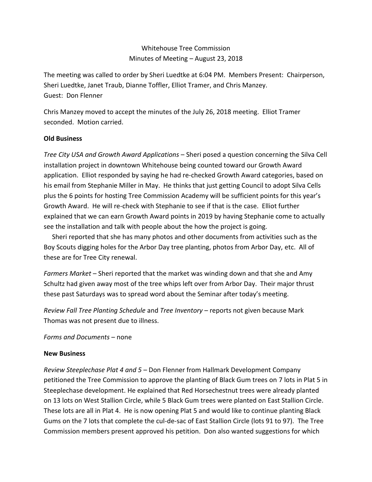## Whitehouse Tree Commission Minutes of Meeting – August 23, 2018

The meeting was called to order by Sheri Luedtke at 6:04 PM. Members Present: Chairperson, Sheri Luedtke, Janet Traub, Dianne Toffler, Elliot Tramer, and Chris Manzey. Guest: Don Flenner

Chris Manzey moved to accept the minutes of the July 26, 2018 meeting. Elliot Tramer seconded. Motion carried.

## **Old Business**

*Tree City USA and Growth Award Applications* – Sheri posed a question concerning the Silva Cell installation project in downtown Whitehouse being counted toward our Growth Award application. Elliot responded by saying he had re-checked Growth Award categories, based on his email from Stephanie Miller in May. He thinks that just getting Council to adopt Silva Cells plus the 6 points for hosting Tree Commission Academy will be sufficient points for this year's Growth Award. He will re-check with Stephanie to see if that is the case. Elliot further explained that we can earn Growth Award points in 2019 by having Stephanie come to actually see the installation and talk with people about the how the project is going.

 Sheri reported that she has many photos and other documents from activities such as the Boy Scouts digging holes for the Arbor Day tree planting, photos from Arbor Day, etc. All of these are for Tree City renewal.

*Farmers Market* – Sheri reported that the market was winding down and that she and Amy Schultz had given away most of the tree whips left over from Arbor Day. Their major thrust these past Saturdays was to spread word about the Seminar after today's meeting.

*Review Fall Tree Planting Schedule* and *Tree Inventory* – reports not given because Mark Thomas was not present due to illness.

*Forms and Documents* – none

## **New Business**

*Review Steeplechase Plat 4 and 5* – Don Flenner from Hallmark Development Company petitioned the Tree Commission to approve the planting of Black Gum trees on 7 lots in Plat 5 in Steeplechase development. He explained that Red Horsechestnut trees were already planted on 13 lots on West Stallion Circle, while 5 Black Gum trees were planted on East Stallion Circle. These lots are all in Plat 4. He is now opening Plat 5 and would like to continue planting Black Gums on the 7 lots that complete the cul-de-sac of East Stallion Circle (lots 91 to 97). The Tree Commission members present approved his petition. Don also wanted suggestions for which